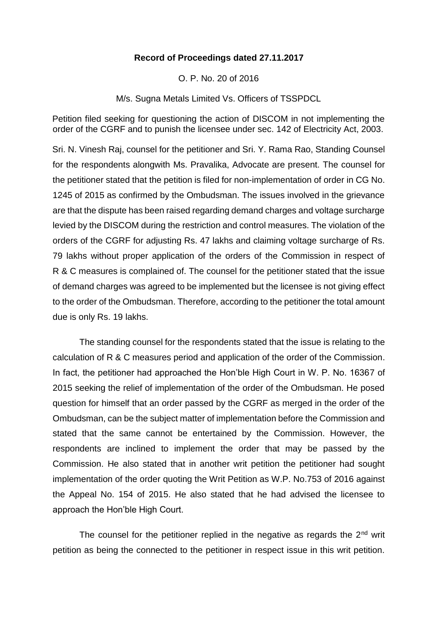## **Record of Proceedings dated 27.11.2017**

O. P. No. 20 of 2016

M/s. Sugna Metals Limited Vs. Officers of TSSPDCL

Petition filed seeking for questioning the action of DISCOM in not implementing the order of the CGRF and to punish the licensee under sec. 142 of Electricity Act, 2003.

Sri. N. Vinesh Raj, counsel for the petitioner and Sri. Y. Rama Rao, Standing Counsel for the respondents alongwith Ms. Pravalika, Advocate are present. The counsel for the petitioner stated that the petition is filed for non-implementation of order in CG No. 1245 of 2015 as confirmed by the Ombudsman. The issues involved in the grievance are that the dispute has been raised regarding demand charges and voltage surcharge levied by the DISCOM during the restriction and control measures. The violation of the orders of the CGRF for adjusting Rs. 47 lakhs and claiming voltage surcharge of Rs. 79 lakhs without proper application of the orders of the Commission in respect of R & C measures is complained of. The counsel for the petitioner stated that the issue of demand charges was agreed to be implemented but the licensee is not giving effect to the order of the Ombudsman. Therefore, according to the petitioner the total amount due is only Rs. 19 lakhs.

The standing counsel for the respondents stated that the issue is relating to the calculation of R & C measures period and application of the order of the Commission. In fact, the petitioner had approached the Hon'ble High Court in W. P. No. 16367 of 2015 seeking the relief of implementation of the order of the Ombudsman. He posed question for himself that an order passed by the CGRF as merged in the order of the Ombudsman, can be the subject matter of implementation before the Commission and stated that the same cannot be entertained by the Commission. However, the respondents are inclined to implement the order that may be passed by the Commission. He also stated that in another writ petition the petitioner had sought implementation of the order quoting the Writ Petition as W.P. No.753 of 2016 against the Appeal No. 154 of 2015. He also stated that he had advised the licensee to approach the Hon'ble High Court.

The counsel for the petitioner replied in the negative as regards the  $2<sup>nd</sup>$  writ petition as being the connected to the petitioner in respect issue in this writ petition.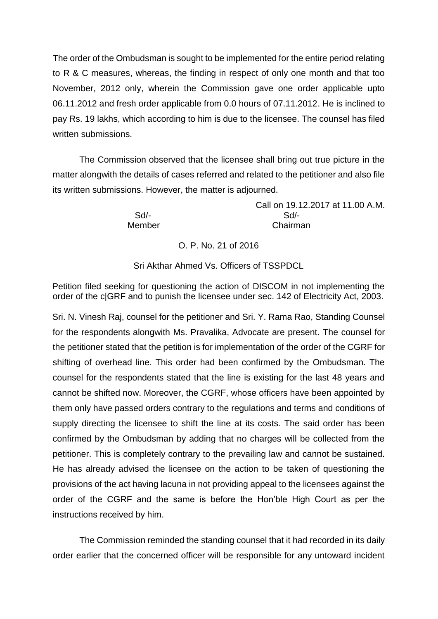The order of the Ombudsman is sought to be implemented for the entire period relating to R & C measures, whereas, the finding in respect of only one month and that too November, 2012 only, wherein the Commission gave one order applicable upto 06.11.2012 and fresh order applicable from 0.0 hours of 07.11.2012. He is inclined to pay Rs. 19 lakhs, which according to him is due to the licensee. The counsel has filed written submissions.

The Commission observed that the licensee shall bring out true picture in the matter alongwith the details of cases referred and related to the petitioner and also file its written submissions. However, the matter is adjourned.

Call on 19.12.2017 at 11.00 A.M. Sd/- Sd/- Member Chairman

O. P. No. 21 of 2016

Sri Akthar Ahmed Vs. Officers of TSSPDCL

Petition filed seeking for questioning the action of DISCOM in not implementing the order of the c|GRF and to punish the licensee under sec. 142 of Electricity Act, 2003.

Sri. N. Vinesh Raj, counsel for the petitioner and Sri. Y. Rama Rao, Standing Counsel for the respondents alongwith Ms. Pravalika, Advocate are present. The counsel for the petitioner stated that the petition is for implementation of the order of the CGRF for shifting of overhead line. This order had been confirmed by the Ombudsman. The counsel for the respondents stated that the line is existing for the last 48 years and cannot be shifted now. Moreover, the CGRF, whose officers have been appointed by them only have passed orders contrary to the regulations and terms and conditions of supply directing the licensee to shift the line at its costs. The said order has been confirmed by the Ombudsman by adding that no charges will be collected from the petitioner. This is completely contrary to the prevailing law and cannot be sustained. He has already advised the licensee on the action to be taken of questioning the provisions of the act having lacuna in not providing appeal to the licensees against the order of the CGRF and the same is before the Hon'ble High Court as per the instructions received by him.

The Commission reminded the standing counsel that it had recorded in its daily order earlier that the concerned officer will be responsible for any untoward incident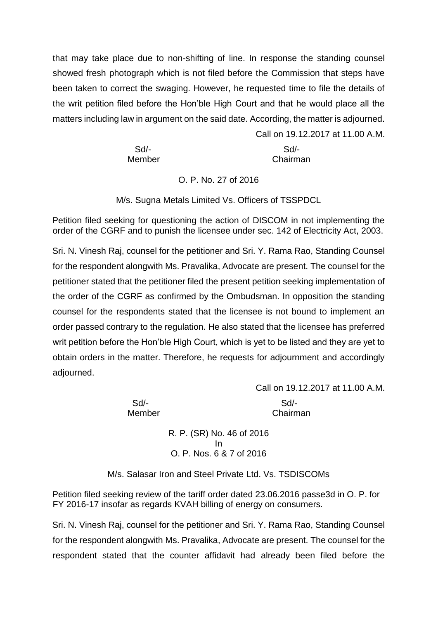that may take place due to non-shifting of line. In response the standing counsel showed fresh photograph which is not filed before the Commission that steps have been taken to correct the swaging. However, he requested time to file the details of the writ petition filed before the Hon'ble High Court and that he would place all the matters including law in argument on the said date. According, the matter is adjourned.

| $Sd$ - | Sd       |
|--------|----------|
| Member | Chairman |

## O. P. No. 27 of 2016

M/s. Sugna Metals Limited Vs. Officers of TSSPDCL

Petition filed seeking for questioning the action of DISCOM in not implementing the order of the CGRF and to punish the licensee under sec. 142 of Electricity Act, 2003.

Sri. N. Vinesh Raj, counsel for the petitioner and Sri. Y. Rama Rao, Standing Counsel for the respondent alongwith Ms. Pravalika, Advocate are present. The counsel for the petitioner stated that the petitioner filed the present petition seeking implementation of the order of the CGRF as confirmed by the Ombudsman. In opposition the standing counsel for the respondents stated that the licensee is not bound to implement an order passed contrary to the regulation. He also stated that the licensee has preferred writ petition before the Hon'ble High Court, which is yet to be listed and they are yet to obtain orders in the matter. Therefore, he requests for adjournment and accordingly adjourned.

Call on 19.12.2017 at 11.00 A.M.

Call on 19.12.2017 at 11.00 A.M.

Sd/- Sd/- Member Chairman

> R. P. (SR) No. 46 of 2016 In O. P. Nos. 6 & 7 of 2016

M/s. Salasar Iron and Steel Private Ltd. Vs. TSDISCOMs

Petition filed seeking review of the tariff order dated 23.06.2016 passe3d in O. P. for FY 2016-17 insofar as regards KVAH billing of energy on consumers.

Sri. N. Vinesh Raj, counsel for the petitioner and Sri. Y. Rama Rao, Standing Counsel for the respondent alongwith Ms. Pravalika, Advocate are present. The counsel for the respondent stated that the counter affidavit had already been filed before the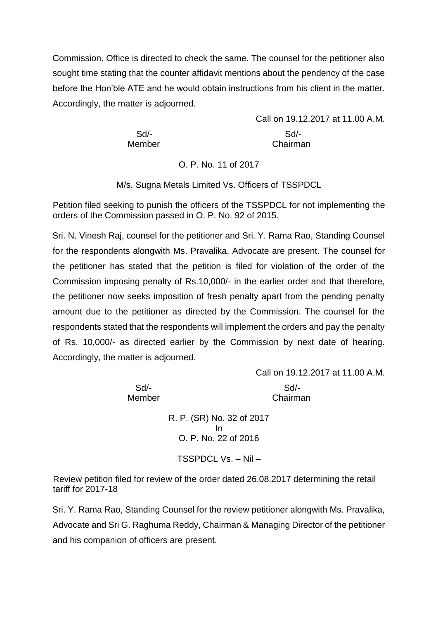Commission. Office is directed to check the same. The counsel for the petitioner also sought time stating that the counter affidavit mentions about the pendency of the case before the Hon'ble ATE and he would obtain instructions from his client in the matter. Accordingly, the matter is adjourned.

 Sd/- Sd/- Member **Chairman** 

Call on 19.12.2017 at 11.00 A.M.

O. P. No. 11 of 2017

M/s. Sugna Metals Limited Vs. Officers of TSSPDCL

Petition filed seeking to punish the officers of the TSSPDCL for not implementing the orders of the Commission passed in O. P. No. 92 of 2015.

Sri. N. Vinesh Raj, counsel for the petitioner and Sri. Y. Rama Rao, Standing Counsel for the respondents alongwith Ms. Pravalika, Advocate are present. The counsel for the petitioner has stated that the petition is filed for violation of the order of the Commission imposing penalty of Rs.10,000/- in the earlier order and that therefore, the petitioner now seeks imposition of fresh penalty apart from the pending penalty amount due to the petitioner as directed by the Commission. The counsel for the respondents stated that the respondents will implement the orders and pay the penalty of Rs. 10,000/- as directed earlier by the Commission by next date of hearing. Accordingly, the matter is adjourned.

Call on 19.12.2017 at 11.00 A.M. Sd/- Sd/- Member Chairman

> R. P. (SR) No. 32 of 2017 In O. P. No. 22 of 2016

TSSPDCL Vs. – Nil –

Review petition filed for review of the order dated 26.08.2017 determining the retail tariff for 2017-18

Sri. Y. Rama Rao, Standing Counsel for the review petitioner alongwith Ms. Pravalika, Advocate and Sri G. Raghuma Reddy, Chairman & Managing Director of the petitioner and his companion of officers are present.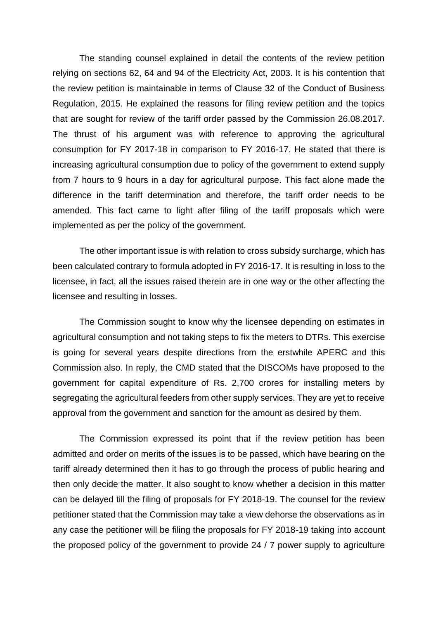The standing counsel explained in detail the contents of the review petition relying on sections 62, 64 and 94 of the Electricity Act, 2003. It is his contention that the review petition is maintainable in terms of Clause 32 of the Conduct of Business Regulation, 2015. He explained the reasons for filing review petition and the topics that are sought for review of the tariff order passed by the Commission 26.08.2017. The thrust of his argument was with reference to approving the agricultural consumption for FY 2017-18 in comparison to FY 2016-17. He stated that there is increasing agricultural consumption due to policy of the government to extend supply from 7 hours to 9 hours in a day for agricultural purpose. This fact alone made the difference in the tariff determination and therefore, the tariff order needs to be amended. This fact came to light after filing of the tariff proposals which were implemented as per the policy of the government.

The other important issue is with relation to cross subsidy surcharge, which has been calculated contrary to formula adopted in FY 2016-17. It is resulting in loss to the licensee, in fact, all the issues raised therein are in one way or the other affecting the licensee and resulting in losses.

The Commission sought to know why the licensee depending on estimates in agricultural consumption and not taking steps to fix the meters to DTRs. This exercise is going for several years despite directions from the erstwhile APERC and this Commission also. In reply, the CMD stated that the DISCOMs have proposed to the government for capital expenditure of Rs. 2,700 crores for installing meters by segregating the agricultural feeders from other supply services. They are yet to receive approval from the government and sanction for the amount as desired by them.

The Commission expressed its point that if the review petition has been admitted and order on merits of the issues is to be passed, which have bearing on the tariff already determined then it has to go through the process of public hearing and then only decide the matter. It also sought to know whether a decision in this matter can be delayed till the filing of proposals for FY 2018-19. The counsel for the review petitioner stated that the Commission may take a view dehorse the observations as in any case the petitioner will be filing the proposals for FY 2018-19 taking into account the proposed policy of the government to provide 24 / 7 power supply to agriculture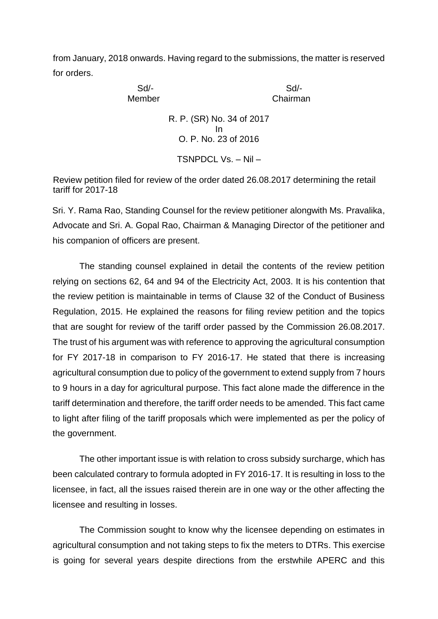from January, 2018 onwards. Having regard to the submissions, the matter is reserved for orders.

> Sd/- Sd/- Member Chairman R. P. (SR) No. 34 of 2017 In O. P. No. 23 of 2016 TSNPDCL Vs. – Nil –

Review petition filed for review of the order dated 26.08.2017 determining the retail tariff for 2017-18

Sri. Y. Rama Rao, Standing Counsel for the review petitioner alongwith Ms. Pravalika, Advocate and Sri. A. Gopal Rao, Chairman & Managing Director of the petitioner and his companion of officers are present.

The standing counsel explained in detail the contents of the review petition relying on sections 62, 64 and 94 of the Electricity Act, 2003. It is his contention that the review petition is maintainable in terms of Clause 32 of the Conduct of Business Regulation, 2015. He explained the reasons for filing review petition and the topics that are sought for review of the tariff order passed by the Commission 26.08.2017. The trust of his argument was with reference to approving the agricultural consumption for FY 2017-18 in comparison to FY 2016-17. He stated that there is increasing agricultural consumption due to policy of the government to extend supply from 7 hours to 9 hours in a day for agricultural purpose. This fact alone made the difference in the tariff determination and therefore, the tariff order needs to be amended. This fact came to light after filing of the tariff proposals which were implemented as per the policy of the government.

The other important issue is with relation to cross subsidy surcharge, which has been calculated contrary to formula adopted in FY 2016-17. It is resulting in loss to the licensee, in fact, all the issues raised therein are in one way or the other affecting the licensee and resulting in losses.

The Commission sought to know why the licensee depending on estimates in agricultural consumption and not taking steps to fix the meters to DTRs. This exercise is going for several years despite directions from the erstwhile APERC and this